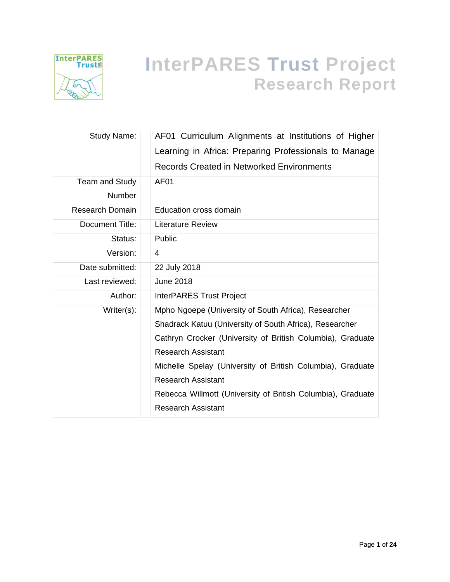

# **InterPARES Trust Project Research Report**

| Study Name:            | AF01 Curriculum Alignments at Institutions of Higher        |
|------------------------|-------------------------------------------------------------|
|                        | Learning in Africa: Preparing Professionals to Manage       |
|                        | Records Created in Networked Environments                   |
| Team and Study         | AF <sub>01</sub>                                            |
| <b>Number</b>          |                                                             |
| <b>Research Domain</b> | Education cross domain                                      |
| Document Title:        | <b>Literature Review</b>                                    |
| Status:                | Public                                                      |
| Version:               | 4                                                           |
| Date submitted:        | 22 July 2018                                                |
| Last reviewed:         | <b>June 2018</b>                                            |
| Author:                | <b>InterPARES Trust Project</b>                             |
| $Writer(s)$ :          | Mpho Ngoepe (University of South Africa), Researcher        |
|                        | Shadrack Katuu (University of South Africa), Researcher     |
|                        | Cathryn Crocker (University of British Columbia), Graduate  |
|                        | <b>Research Assistant</b>                                   |
|                        | Michelle Spelay (University of British Columbia), Graduate  |
|                        | <b>Research Assistant</b>                                   |
|                        | Rebecca Willmott (University of British Columbia), Graduate |
|                        | <b>Research Assistant</b>                                   |
|                        |                                                             |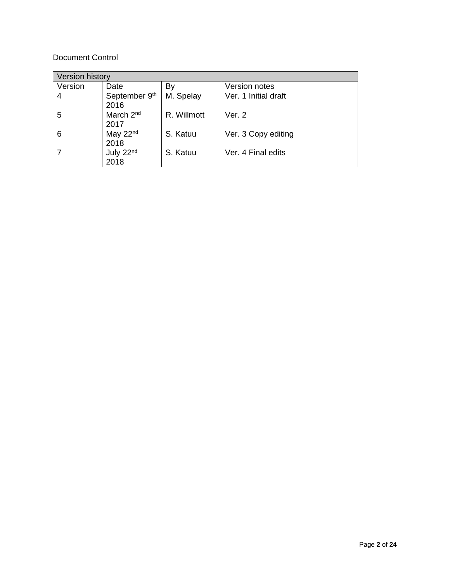#### Document Control

| <b>Version history</b> |                               |             |                      |  |  |  |
|------------------------|-------------------------------|-------------|----------------------|--|--|--|
| Version                | Date                          | B٧          | Version notes        |  |  |  |
| 4                      | September 9th<br>2016         | M. Spelay   | Ver. 1 Initial draft |  |  |  |
| 5                      | March 2 <sup>nd</sup><br>2017 | R. Willmott | Ver. 2               |  |  |  |
| 6                      | May $22nd$<br>2018            | S. Katuu    | Ver. 3 Copy editing  |  |  |  |
|                        | July 22nd<br>2018             | S. Katuu    | Ver. 4 Final edits   |  |  |  |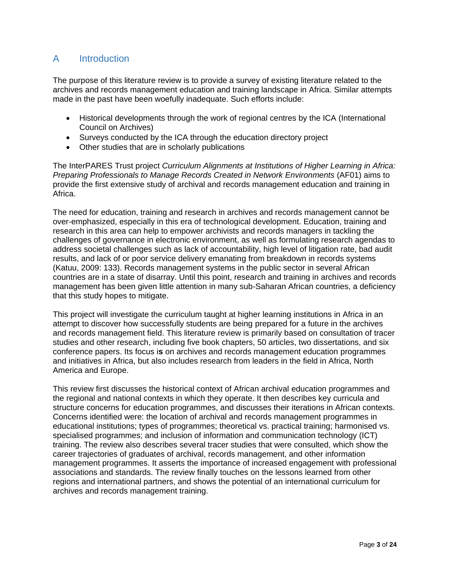# A Introduction

The purpose of this literature review is to provide a survey of existing literature related to the archives and records management education and training landscape in Africa. Similar attempts made in the past have been woefully inadequate. Such efforts include:

- Historical developments through the work of regional centres by the ICA (International Council on Archives)
- Surveys conducted by the ICA through the education directory project
- Other studies that are in scholarly publications

The InterPARES Trust project *Curriculum Alignments at Institutions of Higher Learning in Africa: Preparing Professionals to Manage Records Created in Network Environments* (AF01) aims to provide the first extensive study of archival and records management education and training in Africa.

The need for education, training and research in archives and records management cannot be over-emphasized, especially in this era of technological development. Education, training and research in this area can help to empower archivists and records managers in tackling the challenges of governance in electronic environment, as well as formulating research agendas to address societal challenges such as lack of accountability, high level of litigation rate, bad audit results, and lack of or poor service delivery emanating from breakdown in records systems (Katuu, 2009: 133). Records management systems in the public sector in several African countries are in a state of disarray. Until this point, research and training in archives and records management has been given little attention in many sub-Saharan African countries, a deficiency that this study hopes to mitigate.

This project will investigate the curriculum taught at higher learning institutions in Africa in an attempt to discover how successfully students are being prepared for a future in the archives and records management field. This literature review is primarily based on consultation of tracer studies and other research, including five book chapters, 50 articles, two dissertations, and six conference papers. Its focus i**s** on archives and records management education programmes and initiatives in Africa, but also includes research from leaders in the field in Africa, North America and Europe.

This review first discusses the historical context of African archival education programmes and the regional and national contexts in which they operate. It then describes key curricula and structure concerns for education programmes, and discusses their iterations in African contexts. Concerns identified were: the location of archival and records management programmes in educational institutions; types of programmes; theoretical vs. practical training; harmonised vs. specialised programmes; and inclusion of information and communication technology (ICT) training. The review also describes several tracer studies that were consulted, which show the career trajectories of graduates of archival, records management, and other information management programmes. It asserts the importance of increased engagement with professional associations and standards. The review finally touches on the lessons learned from other regions and international partners, and shows the potential of an international curriculum for archives and records management training.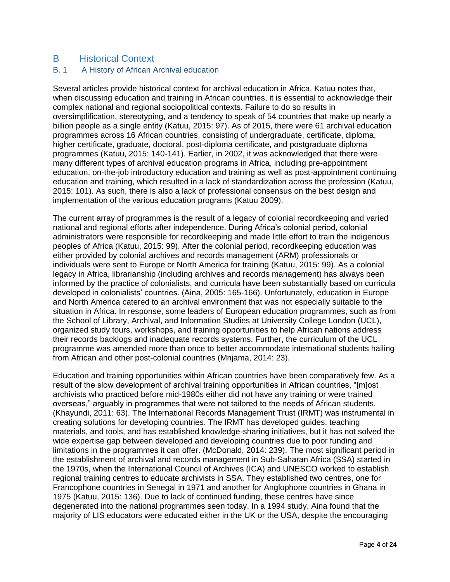# B Historical Context

#### B. 1 A History of African Archival education

Several articles provide historical context for archival education in Africa. Katuu notes that, when discussing education and training in African countries, it is essential to acknowledge their complex national and regional sociopolitical contexts. Failure to do so results in oversimplification, stereotyping, and a tendency to speak of 54 countries that make up nearly a billion people as a single entity (Katuu, 2015: 97). As of 2015, there were 61 archival education programmes across 16 African countries, consisting of undergraduate, certificate, diploma, higher certificate, graduate, doctoral, post-diploma certificate, and postgraduate diploma programmes (Katuu, 2015: 140-141). Earlier, in 2002, it was acknowledged that there were many different types of archival education programs in Africa, including pre-appointment education, on-the-job introductory education and training as well as post-appointment continuing education and training, which resulted in a lack of standardization across the profession (Katuu, 2015: 101). As such, there is also a lack of professional consensus on the best design and implementation of the various education programs (Katuu 2009).

The current array of programmes is the result of a legacy of colonial recordkeeping and varied national and regional efforts after independence. During Africa's colonial period, colonial administrators were responsible for recordkeeping and made little effort to train the indigenous peoples of Africa (Katuu, 2015: 99). After the colonial period, recordkeeping education was either provided by colonial archives and records management (ARM) professionals or individuals were sent to Europe or North America for training (Katuu, 2015: 99). As a colonial legacy in Africa, librarianship (including archives and records management) has always been informed by the practice of colonialists, and curricula have been substantially based on curricula developed in colonialists' countries. (Aina, 2005: 165-166). Unfortunately, education in Europe and North America catered to an archival environment that was not especially suitable to the situation in Africa. In response, some leaders of European education programmes, such as from the School of Library, Archival, and Information Studies at University College London (UCL), organized study tours, workshops, and training opportunities to help African nations address their records backlogs and inadequate records systems. Further, the curriculum of the UCL programme was amended more than once to better accommodate international students hailing from African and other post-colonial countries (Mnjama, 2014: 23).

Education and training opportunities within African countries have been comparatively few. As a result of the slow development of archival training opportunities in African countries, "[m]ost archivists who practiced before mid-1980s either did not have any training or were trained overseas," arguably in programmes that were not tailored to the needs of African students. (Khayundi, 2011: 63). The International Records Management Trust (IRMT) was instrumental in creating solutions for developing countries. The IRMT has developed guides, teaching materials, and tools, and has established knowledge-sharing initiatives, but it has not solved the wide expertise gap between developed and developing countries due to poor funding and limitations in the programmes it can offer. (McDonald, 2014: 239). The most significant period in the establishment of archival and records management in Sub-Saharan Africa (SSA) started in the 1970s, when the International Council of Archives (ICA) and UNESCO worked to establish regional training centres to educate archivists in SSA. They established two centres, one for Francophone countries in Senegal in 1971 and another for Anglophone countries in Ghana in 1975 (Katuu, 2015: 136). Due to lack of continued funding, these centres have since degenerated into the national programmes seen today. In a 1994 study, Aina found that the majority of LIS educators were educated either in the UK or the USA, despite the encouraging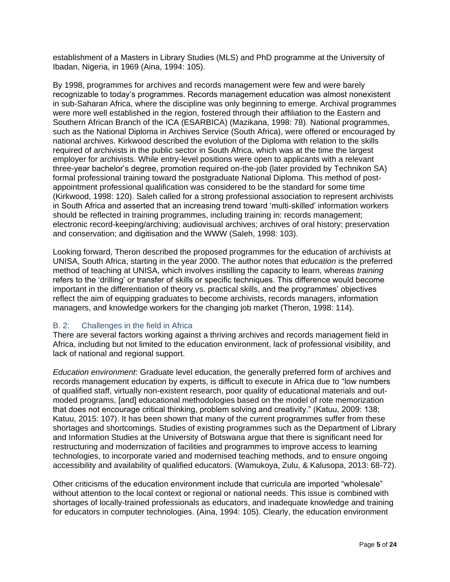establishment of a Masters in Library Studies (MLS) and PhD programme at the University of Ibadan, Nigeria, in 1969 (Aina, 1994: 105).

By 1998, programmes for archives and records management were few and were barely recognizable to today's programmes. Records management education was almost nonexistent in sub-Saharan Africa, where the discipline was only beginning to emerge. Archival programmes were more well established in the region, fostered through their affiliation to the Eastern and Southern African Branch of the ICA (ESARBICA) (Mazikana, 1998: 78). National programmes, such as the National Diploma in Archives Service (South Africa), were offered or encouraged by national archives. Kirkwood described the evolution of the Diploma with relation to the skills required of archivists in the public sector in South Africa, which was at the time the largest employer for archivists. While entry-level positions were open to applicants with a relevant three-year bachelor's degree, promotion required on-the-job (later provided by Technikon SA) formal professional training toward the postgraduate National Diploma. This method of postappointment professional qualification was considered to be the standard for some time (Kirkwood, 1998: 120). Saleh called for a strong professional association to represent archivists in South Africa and asserted that an increasing trend toward 'multi-skilled' information workers should be reflected in training programmes, including training in: records management; electronic record-keeping/archiving; audiovisual archives; archives of oral history; preservation and conservation; and digitisation and the WWW (Saleh, 1998: 103).

Looking forward, Theron described the proposed programmes for the education of archivists at UNISA, South Africa, starting in the year 2000. The author notes that *education* is the preferred method of teaching at UNISA, which involves instilling the capacity to learn, whereas *training* refers to the 'drilling' or transfer of skills or specific techniques. This difference would become important in the differentiation of theory vs. practical skills, and the programmes' objectives reflect the aim of equipping graduates to become archivists, records managers, information managers, and knowledge workers for the changing job market (Theron, 1998: 114).

#### B. 2: Challenges in the field in Africa

There are several factors working against a thriving archives and records management field in Africa, including but not limited to the education environment, lack of professional visibility, and lack of national and regional support.

*Education environment*: Graduate level education, the generally preferred form of archives and records management education by experts, is difficult to execute in Africa due to "low numbers of qualified staff, virtually non-existent research, poor quality of educational materials and outmoded programs, [and] educational methodologies based on the model of rote memorization that does not encourage critical thinking, problem solving and creativity." (Katuu, 2009: 138; Katuu, 2015: 107). It has been shown that many of the current programmes suffer from these shortages and shortcomings. Studies of existing programmes such as the Department of Library and Information Studies at the University of Botswana argue that there is significant need for restructuring and modernization of facilities and programmes to improve access to learning technologies, to incorporate varied and modernised teaching methods, and to ensure ongoing accessibility and availability of qualified educators. (Wamukoya, Zulu, & Kalusopa, 2013: 68-72).

Other criticisms of the education environment include that curricula are imported "wholesale" without attention to the local context or regional or national needs. This issue is combined with shortages of locally-trained professionals as educators, and inadequate knowledge and training for educators in computer technologies. (Aina, 1994: 105). Clearly, the education environment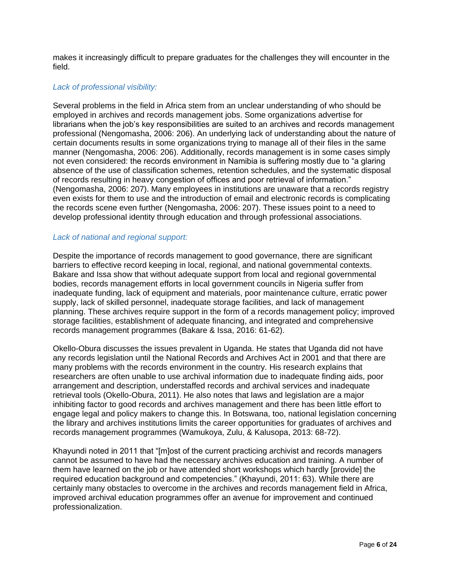makes it increasingly difficult to prepare graduates for the challenges they will encounter in the field.

#### *Lack of professional visibility:*

Several problems in the field in Africa stem from an unclear understanding of who should be employed in archives and records management jobs. Some organizations advertise for librarians when the job's key responsibilities are suited to an archives and records management professional (Nengomasha, 2006: 206). An underlying lack of understanding about the nature of certain documents results in some organizations trying to manage all of their files in the same manner (Nengomasha, 2006: 206). Additionally, records management is in some cases simply not even considered: the records environment in Namibia is suffering mostly due to "a glaring absence of the use of classification schemes, retention schedules, and the systematic disposal of records resulting in heavy congestion of offices and poor retrieval of information." (Nengomasha, 2006: 207). Many employees in institutions are unaware that a records registry even exists for them to use and the introduction of email and electronic records is complicating the records scene even further (Nengomasha, 2006: 207). These issues point to a need to develop professional identity through education and through professional associations.

#### *Lack of national and regional support:*

Despite the importance of records management to good governance, there are significant barriers to effective record keeping in local, regional, and national governmental contexts. Bakare and Issa show that without adequate support from local and regional governmental bodies, records management efforts in local government councils in Nigeria suffer from inadequate funding, lack of equipment and materials, poor maintenance culture, erratic power supply, lack of skilled personnel, inadequate storage facilities, and lack of management planning. These archives require support in the form of a records management policy; improved storage facilities, establishment of adequate financing, and integrated and comprehensive records management programmes (Bakare & Issa, 2016: 61-62).

Okello-Obura discusses the issues prevalent in Uganda. He states that Uganda did not have any records legislation until the National Records and Archives Act in 2001 and that there are many problems with the records environment in the country. His research explains that researchers are often unable to use archival information due to inadequate finding aids, poor arrangement and description, understaffed records and archival services and inadequate retrieval tools (Okello-Obura, 2011). He also notes that laws and legislation are a major inhibiting factor to good records and archives management and there has been little effort to engage legal and policy makers to change this. In Botswana, too, national legislation concerning the library and archives institutions limits the career opportunities for graduates of archives and records management programmes (Wamukoya, Zulu, & Kalusopa, 2013: 68-72).

Khayundi noted in 2011 that "[m]ost of the current practicing archivist and records managers cannot be assumed to have had the necessary archives education and training. A number of them have learned on the job or have attended short workshops which hardly [provide] the required education background and competencies." (Khayundi, 2011: 63). While there are certainly many obstacles to overcome in the archives and records management field in Africa, improved archival education programmes offer an avenue for improvement and continued professionalization.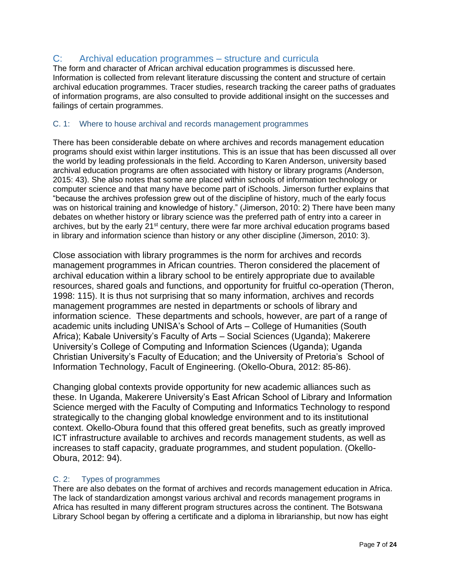# C: Archival education programmes – structure and curricula

The form and character of African archival education programmes is discussed here. Information is collected from relevant literature discussing the content and structure of certain archival education programmes. Tracer studies, research tracking the career paths of graduates of information programs, are also consulted to provide additional insight on the successes and failings of certain programmes.

#### C. 1: Where to house archival and records management programmes

There has been considerable debate on where archives and records management education programs should exist within larger institutions. This is an issue that has been discussed all over the world by leading professionals in the field. According to Karen Anderson, university based archival education programs are often associated with history or library programs (Anderson, 2015: 43). She also notes that some are placed within schools of information technology or computer science and that many have become part of iSchools. Jimerson further explains that "because the archives profession grew out of the discipline of history, much of the early focus was on historical training and knowledge of history." (Jimerson, 2010: 2) There have been many debates on whether history or library science was the preferred path of entry into a career in archives, but by the early 21<sup>st</sup> century, there were far more archival education programs based in library and information science than history or any other discipline (Jimerson, 2010: 3).

Close association with library programmes is the norm for archives and records management programmes in African countries. Theron considered the placement of archival education within a library school to be entirely appropriate due to available resources, shared goals and functions, and opportunity for fruitful co-operation (Theron, 1998: 115). It is thus not surprising that so many information, archives and records management programmes are nested in departments or schools of library and information science. These departments and schools, however, are part of a range of academic units including UNISA's School of Arts – College of Humanities (South Africa); Kabale University's Faculty of Arts – Social Sciences (Uganda); Makerere University's College of Computing and Information Sciences (Uganda); Uganda Christian University's Faculty of Education; and the University of Pretoria's School of Information Technology, Facult of Engineering. (Okello-Obura, 2012: 85-86).

Changing global contexts provide opportunity for new academic alliances such as these. In Uganda, Makerere University's East African School of Library and Information Science merged with the Faculty of Computing and Informatics Technology to respond strategically to the changing global knowledge environment and to its institutional context. Okello-Obura found that this offered great benefits, such as greatly improved ICT infrastructure available to archives and records management students, as well as increases to staff capacity, graduate programmes, and student population. (Okello-Obura, 2012: 94).

#### C. 2: Types of programmes

There are also debates on the format of archives and records management education in Africa. The lack of standardization amongst various archival and records management programs in Africa has resulted in many different program structures across the continent. The Botswana Library School began by offering a certificate and a diploma in librarianship, but now has eight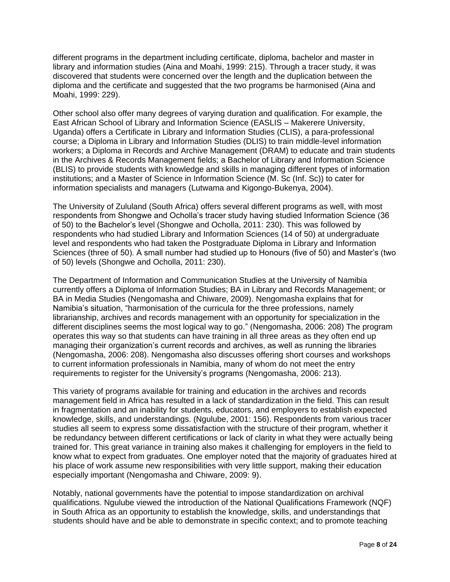different programs in the department including certificate, diploma, bachelor and master in library and information studies (Aina and Moahi, 1999: 215). Through a tracer study, it was discovered that students were concerned over the length and the duplication between the diploma and the certificate and suggested that the two programs be harmonised (Aina and Moahi, 1999: 229).

Other school also offer many degrees of varying duration and qualification. For example, the East African School of Library and Information Science (EASLIS – Makerere University, Uganda) offers a Certificate in Library and Information Studies (CLIS), a para-professional course; a Diploma in Library and Information Studies (DLIS) to train middle-level information workers; a Diploma in Records and Archive Management (DRAM) to educate and train students in the Archives & Records Management fields; a Bachelor of Library and Information Science (BLIS) to provide students with knowledge and skills in managing different types of information institutions; and a Master of Science in Information Science (M. Sc (Inf. Sc)) to cater for information specialists and managers (Lutwama and Kigongo-Bukenya, 2004).

The University of Zululand (South Africa) offers several different programs as well, with most respondents from Shongwe and Ocholla's tracer study having studied Information Science (36 of 50) to the Bachelor's level (Shongwe and Ocholla, 2011: 230). This was followed by respondents who had studied Library and Information Sciences (14 of 50) at undergraduate level and respondents who had taken the Postgraduate Diploma in Library and Information Sciences (three of 50). A small number had studied up to Honours (five of 50) and Master's (two of 50) levels (Shongwe and Ocholla, 2011: 230).

The Department of Information and Communication Studies at the University of Namibia currently offers a Diploma of Information Studies; BA in Library and Records Management; or BA in Media Studies (Nengomasha and Chiware, 2009). Nengomasha explains that for Namibia's situation, "harmonisation of the curricula for the three professions, namely librarianship, archives and records management with an opportunity for specialization in the different disciplines seems the most logical way to go." (Nengomasha, 2006: 208) The program operates this way so that students can have training in all three areas as they often end up managing their organization's current records and archives, as well as running the libraries (Nengomasha, 2006: 208). Nengomasha also discusses offering short courses and workshops to current information professionals in Namibia, many of whom do not meet the entry requirements to register for the University's programs (Nengomasha, 2006: 213).

This variety of programs available for training and education in the archives and records management field in Africa has resulted in a lack of standardization in the field. This can result in fragmentation and an inability for students, educators, and employers to establish expected knowledge, skills, and understandings. (Ngulube, 2001: 156). Respondents from various tracer studies all seem to express some dissatisfaction with the structure of their program, whether it be redundancy between different certifications or lack of clarity in what they were actually being trained for. This great variance in training also makes it challenging for employers in the field to know what to expect from graduates. One employer noted that the majority of graduates hired at his place of work assume new responsibilities with very little support, making their education especially important (Nengomasha and Chiware, 2009: 9).

Notably, national governments have the potential to impose standardization on archival qualifications. Ngulube viewed the introduction of the National Qualifications Framework (NQF) in South Africa as an opportunity to establish the knowledge, skills, and understandings that students should have and be able to demonstrate in specific context; and to promote teaching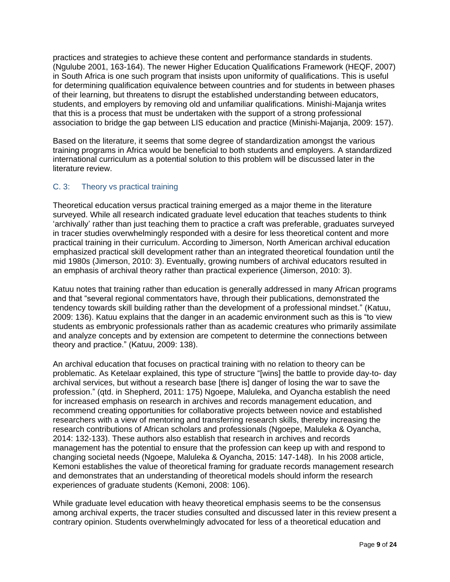practices and strategies to achieve these content and performance standards in students. (Ngulube 2001, 163-164). The newer Higher Education Qualifications Framework (HEQF, 2007) in South Africa is one such program that insists upon uniformity of qualifications. This is useful for determining qualification equivalence between countries and for students in between phases of their learning, but threatens to disrupt the established understanding between educators, students, and employers by removing old and unfamiliar qualifications. Minishi-Majanja writes that this is a process that must be undertaken with the support of a strong professional association to bridge the gap between LIS education and practice (Minishi-Majanja, 2009: 157).

Based on the literature, it seems that some degree of standardization amongst the various training programs in Africa would be beneficial to both students and employers. A standardized international curriculum as a potential solution to this problem will be discussed later in the literature review.

### C. 3: Theory vs practical training

Theoretical education versus practical training emerged as a major theme in the literature surveyed. While all research indicated graduate level education that teaches students to think 'archivally' rather than just teaching them to practice a craft was preferable, graduates surveyed in tracer studies overwhelmingly responded with a desire for less theoretical content and more practical training in their curriculum. According to Jimerson, North American archival education emphasized practical skill development rather than an integrated theoretical foundation until the mid 1980s (Jimerson, 2010: 3). Eventually, growing numbers of archival educators resulted in an emphasis of archival theory rather than practical experience (Jimerson, 2010: 3).

Katuu notes that training rather than education is generally addressed in many African programs and that "several regional commentators have, through their publications, demonstrated the tendency towards skill building rather than the development of a professional mindset." (Katuu, 2009: 136). Katuu explains that the danger in an academic environment such as this is "to view students as embryonic professionals rather than as academic creatures who primarily assimilate and analyze concepts and by extension are competent to determine the connections between theory and practice." (Katuu, 2009: 138).

An archival education that focuses on practical training with no relation to theory can be problematic. As Ketelaar explained, this type of structure "[wins] the battle to provide day-to- day archival services, but without a research base [there is] danger of losing the war to save the profession." (qtd. in Shepherd, 2011: 175) Ngoepe, Maluleka, and Oyancha establish the need for increased emphasis on research in archives and records management education, and recommend creating opportunities for collaborative projects between novice and established researchers with a view of mentoring and transferring research skills, thereby increasing the research contributions of African scholars and professionals (Ngoepe, Maluleka & Oyancha, 2014: 132-133). These authors also establish that research in archives and records management has the potential to ensure that the profession can keep up with and respond to changing societal needs (Ngoepe, Maluleka & Oyancha, 2015: 147-148). In his 2008 article, Kemoni establishes the value of theoretical framing for graduate records management research and demonstrates that an understanding of theoretical models should inform the research experiences of graduate students (Kemoni, 2008: 106).

While graduate level education with heavy theoretical emphasis seems to be the consensus among archival experts, the tracer studies consulted and discussed later in this review present a contrary opinion. Students overwhelmingly advocated for less of a theoretical education and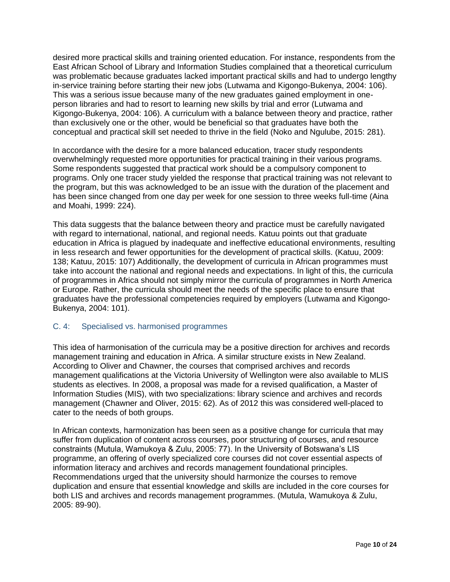desired more practical skills and training oriented education. For instance, respondents from the East African School of Library and Information Studies complained that a theoretical curriculum was problematic because graduates lacked important practical skills and had to undergo lengthy in-service training before starting their new jobs (Lutwama and Kigongo-Bukenya, 2004: 106). This was a serious issue because many of the new graduates gained employment in oneperson libraries and had to resort to learning new skills by trial and error (Lutwama and Kigongo-Bukenya, 2004: 106). A curriculum with a balance between theory and practice, rather than exclusively one or the other, would be beneficial so that graduates have both the conceptual and practical skill set needed to thrive in the field (Noko and Ngulube, 2015: 281).

In accordance with the desire for a more balanced education, tracer study respondents overwhelmingly requested more opportunities for practical training in their various programs. Some respondents suggested that practical work should be a compulsory component to programs. Only one tracer study yielded the response that practical training was not relevant to the program, but this was acknowledged to be an issue with the duration of the placement and has been since changed from one day per week for one session to three weeks full-time (Aina and Moahi, 1999: 224).

This data suggests that the balance between theory and practice must be carefully navigated with regard to international, national, and regional needs. Katuu points out that graduate education in Africa is plagued by inadequate and ineffective educational environments, resulting in less research and fewer opportunities for the development of practical skills. (Katuu, 2009: 138; Katuu, 2015: 107) Additionally, the development of curricula in African programmes must take into account the national and regional needs and expectations. In light of this, the curricula of programmes in Africa should not simply mirror the curricula of programmes in North America or Europe. Rather, the curricula should meet the needs of the specific place to ensure that graduates have the professional competencies required by employers (Lutwama and Kigongo-Bukenya, 2004: 101).

#### C. 4: Specialised vs. harmonised programmes

This idea of harmonisation of the curricula may be a positive direction for archives and records management training and education in Africa. A similar structure exists in New Zealand. According to Oliver and Chawner, the courses that comprised archives and records management qualifications at the Victoria University of Wellington were also available to MLIS students as electives. In 2008, a proposal was made for a revised qualification, a Master of Information Studies (MIS), with two specializations: library science and archives and records management (Chawner and Oliver, 2015: 62). As of 2012 this was considered well-placed to cater to the needs of both groups.

In African contexts, harmonization has been seen as a positive change for curricula that may suffer from duplication of content across courses, poor structuring of courses, and resource constraints (Mutula, Wamukoya & Zulu, 2005: 77). In the University of Botswana's LIS programme, an offering of overly specialized core courses did not cover essential aspects of information literacy and archives and records management foundational principles. Recommendations urged that the university should harmonize the courses to remove duplication and ensure that essential knowledge and skills are included in the core courses for both LIS and archives and records management programmes. (Mutula, Wamukoya & Zulu, 2005: 89-90).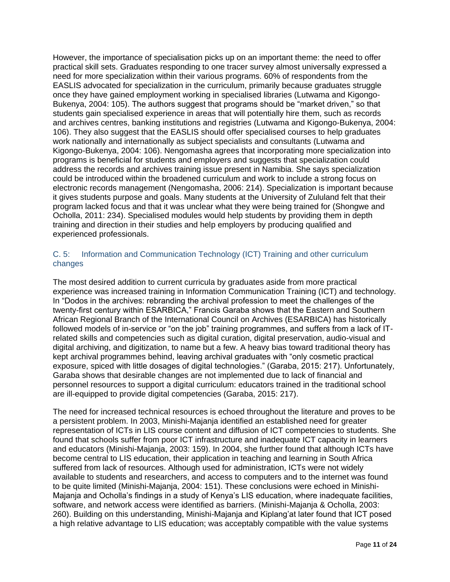However, the importance of specialisation picks up on an important theme: the need to offer practical skill sets. Graduates responding to one tracer survey almost universally expressed a need for more specialization within their various programs. 60% of respondents from the EASLIS advocated for specialization in the curriculum, primarily because graduates struggle once they have gained employment working in specialised libraries (Lutwama and Kigongo-Bukenya, 2004: 105). The authors suggest that programs should be "market driven," so that students gain specialised experience in areas that will potentially hire them, such as records and archives centres, banking institutions and registries (Lutwama and Kigongo-Bukenya, 2004: 106). They also suggest that the EASLIS should offer specialised courses to help graduates work nationally and internationally as subject specialists and consultants (Lutwama and Kigongo-Bukenya, 2004: 106). Nengomasha agrees that incorporating more specialization into programs is beneficial for students and employers and suggests that specialization could address the records and archives training issue present in Namibia. She says specialization could be introduced within the broadened curriculum and work to include a strong focus on electronic records management (Nengomasha, 2006: 214). Specialization is important because it gives students purpose and goals. Many students at the University of Zululand felt that their program lacked focus and that it was unclear what they were being trained for (Shongwe and Ocholla, 2011: 234). Specialised modules would help students by providing them in depth training and direction in their studies and help employers by producing qualified and experienced professionals.

#### C. 5: Information and Communication Technology (ICT) Training and other curriculum changes

The most desired addition to current curricula by graduates aside from more practical experience was increased training in Information Communication Training (ICT) and technology. In "Dodos in the archives: rebranding the archival profession to meet the challenges of the twenty-first century within ESARBICA," Francis Garaba shows that the Eastern and Southern African Regional Branch of the International Council on Archives (ESARBICA) has historically followed models of in-service or "on the job" training programmes, and suffers from a lack of ITrelated skills and competencies such as digital curation, digital preservation, audio-visual and digital archiving, and digitization, to name but a few. A heavy bias toward traditional theory has kept archival programmes behind, leaving archival graduates with "only cosmetic practical exposure, spiced with little dosages of digital technologies." (Garaba, 2015: 217). Unfortunately, Garaba shows that desirable changes are not implemented due to lack of financial and personnel resources to support a digital curriculum: educators trained in the traditional school are ill-equipped to provide digital competencies (Garaba, 2015: 217).

The need for increased technical resources is echoed throughout the literature and proves to be a persistent problem. In 2003, Minishi-Majanja identified an established need for greater representation of ICTs in LIS course content and diffusion of ICT competencies to students. She found that schools suffer from poor ICT infrastructure and inadequate ICT capacity in learners and educators (Minishi-Majanja, 2003: 159). In 2004, she further found that although ICTs have become central to LIS education, their application in teaching and learning in South Africa suffered from lack of resources. Although used for administration, ICTs were not widely available to students and researchers, and access to computers and to the internet was found to be quite limited (Minishi-Majanja, 2004: 151). These conclusions were echoed in Minishi-Majanja and Ocholla's findings in a study of Kenya's LIS education, where inadequate facilities, software, and network access were identified as barriers. (Minishi-Majanja & Ocholla, 2003: 260). Building on this understanding, Minishi-Majanja and Kiplang'at later found that ICT posed a high relative advantage to LIS education; was acceptably compatible with the value systems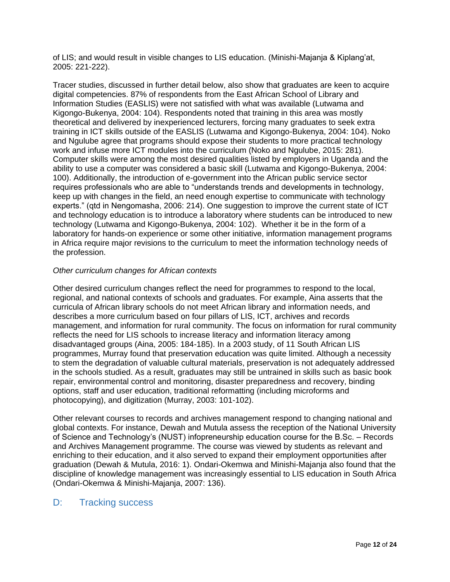of LIS; and would result in visible changes to LIS education. (Minishi-Majanja & Kiplang'at, 2005: 221-222).

Tracer studies, discussed in further detail below, also show that graduates are keen to acquire digital competencies. 87% of respondents from the East African School of Library and Information Studies (EASLIS) were not satisfied with what was available (Lutwama and Kigongo-Bukenya, 2004: 104). Respondents noted that training in this area was mostly theoretical and delivered by inexperienced lecturers, forcing many graduates to seek extra training in ICT skills outside of the EASLIS (Lutwama and Kigongo-Bukenya, 2004: 104). Noko and Ngulube agree that programs should expose their students to more practical technology work and infuse more ICT modules into the curriculum (Noko and Ngulube, 2015: 281). Computer skills were among the most desired qualities listed by employers in Uganda and the ability to use a computer was considered a basic skill (Lutwama and Kigongo-Bukenya, 2004: 100). Additionally, the introduction of e-government into the African public service sector requires professionals who are able to "understands trends and developments in technology, keep up with changes in the field, an need enough expertise to communicate with technology experts." (qtd in Nengomasha, 2006: 214). One suggestion to improve the current state of ICT and technology education is to introduce a laboratory where students can be introduced to new technology (Lutwama and Kigongo-Bukenya, 2004: 102). Whether it be in the form of a laboratory for hands-on experience or some other initiative, information management programs in Africa require major revisions to the curriculum to meet the information technology needs of the profession.

#### *Other curriculum changes for African contexts*

Other desired curriculum changes reflect the need for programmes to respond to the local, regional, and national contexts of schools and graduates. For example, Aina asserts that the curricula of African library schools do not meet African library and information needs, and describes a more curriculum based on four pillars of LIS, ICT, archives and records management, and information for rural community. The focus on information for rural community reflects the need for LIS schools to increase literacy and information literacy among disadvantaged groups (Aina, 2005: 184-185). In a 2003 study, of 11 South African LIS programmes, Murray found that preservation education was quite limited. Although a necessity to stem the degradation of valuable cultural materials, preservation is not adequately addressed in the schools studied. As a result, graduates may still be untrained in skills such as basic book repair, environmental control and monitoring, disaster preparedness and recovery, binding options, staff and user education, traditional reformatting (including microforms and photocopying), and digitization (Murray, 2003: 101-102).

Other relevant courses to records and archives management respond to changing national and global contexts. For instance, Dewah and Mutula assess the reception of the National University of Science and Technology's (NUST) infopreneurship education course for the B.Sc. – Records and Archives Management programme. The course was viewed by students as relevant and enriching to their education, and it also served to expand their employment opportunities after graduation (Dewah & Mutula, 2016: 1). Ondari-Okemwa and Minishi-Majanja also found that the discipline of knowledge management was increasingly essential to LIS education in South Africa (Ondari-Okemwa & Minishi-Majanja, 2007: 136).

## D: Tracking success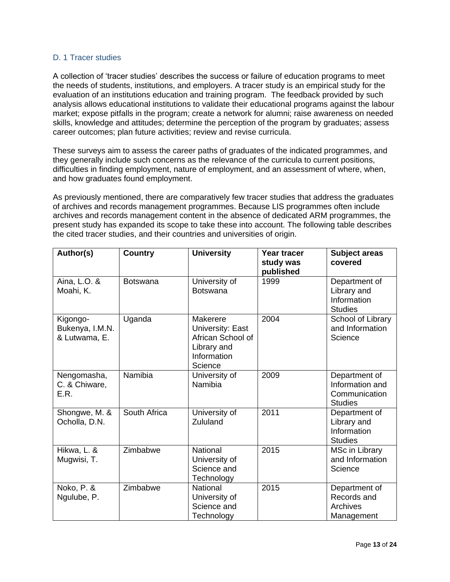#### D. 1 Tracer studies

A collection of 'tracer studies' describes the success or failure of education programs to meet the needs of students, institutions, and employers. A tracer study is an empirical study for the evaluation of an institutions education and training program. The feedback provided by such analysis allows educational institutions to validate their educational programs against the labour market; expose pitfalls in the program; create a network for alumni; raise awareness on needed skills, knowledge and attitudes; determine the perception of the program by graduates; assess career outcomes; plan future activities; review and revise curricula.

These surveys aim to assess the career paths of graduates of the indicated programmes, and they generally include such concerns as the relevance of the curricula to current positions, difficulties in finding employment, nature of employment, and an assessment of where, when, and how graduates found employment.

As previously mentioned, there are comparatively few tracer studies that address the graduates of archives and records management programmes. Because LIS programmes often include archives and records management content in the absence of dedicated ARM programmes, the present study has expanded its scope to take these into account. The following table describes the cited tracer studies, and their countries and universities of origin.

| Author(s)                                    | <b>Country</b>  | <b>University</b>                                                                          | <b>Year tracer</b><br>study was<br>published | <b>Subject areas</b><br>covered                                     |
|----------------------------------------------|-----------------|--------------------------------------------------------------------------------------------|----------------------------------------------|---------------------------------------------------------------------|
| Aina, L.O. &<br>Moahi, K.                    | <b>Botswana</b> | University of<br><b>Botswana</b>                                                           | 1999                                         | Department of<br>Library and<br>Information<br><b>Studies</b>       |
| Kigongo-<br>Bukenya, I.M.N.<br>& Lutwama, E. | Uganda          | Makerere<br>University: East<br>African School of<br>Library and<br>Information<br>Science | 2004                                         | School of Library<br>and Information<br>Science                     |
| Nengomasha,<br>C. & Chiware,<br>E.R.         | Namibia         | University of<br>Namibia                                                                   | 2009                                         | Department of<br>Information and<br>Communication<br><b>Studies</b> |
| Shongwe, M. &<br>Ocholla, D.N.               | South Africa    | University of<br>Zululand                                                                  | 2011                                         | Department of<br>Library and<br>Information<br><b>Studies</b>       |
| Hikwa, L. &<br>Mugwisi, T.                   | Zimbabwe        | National<br>University of<br>Science and<br>Technology                                     | 2015                                         | <b>MSc in Library</b><br>and Information<br>Science                 |
| Noko, P. &<br>Ngulube, P.                    | Zimbabwe        | National<br>University of<br>Science and<br>Technology                                     | 2015                                         | Department of<br>Records and<br>Archives<br>Management              |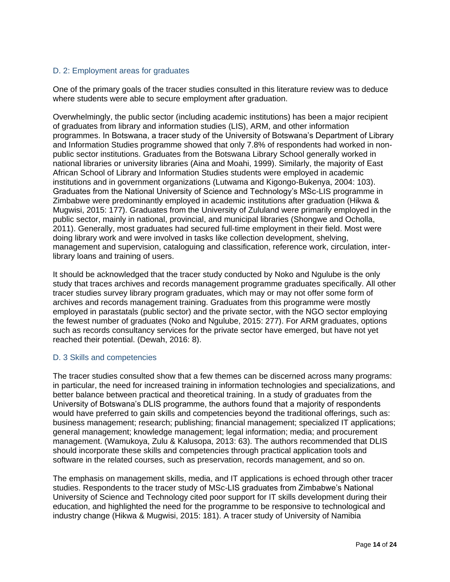#### D. 2: Employment areas for graduates

One of the primary goals of the tracer studies consulted in this literature review was to deduce where students were able to secure employment after graduation.

Overwhelmingly, the public sector (including academic institutions) has been a major recipient of graduates from library and information studies (LIS), ARM, and other information programmes. In Botswana, a tracer study of the University of Botswana's Department of Library and Information Studies programme showed that only 7.8% of respondents had worked in nonpublic sector institutions. Graduates from the Botswana Library School generally worked in national libraries or university libraries (Aina and Moahi, 1999). Similarly, the majority of East African School of Library and Information Studies students were employed in academic institutions and in government organizations (Lutwama and Kigongo-Bukenya, 2004: 103). Graduates from the National University of Science and Technology's MSc-LIS programme in Zimbabwe were predominantly employed in academic institutions after graduation (Hikwa & Mugwisi, 2015: 177). Graduates from the University of Zululand were primarily employed in the public sector, mainly in national, provincial, and municipal libraries (Shongwe and Ocholla, 2011). Generally, most graduates had secured full-time employment in their field. Most were doing library work and were involved in tasks like collection development, shelving, management and supervision, cataloguing and classification, reference work, circulation, interlibrary loans and training of users.

It should be acknowledged that the tracer study conducted by Noko and Ngulube is the only study that traces archives and records management programme graduates specifically. All other tracer studies survey library program graduates, which may or may not offer some form of archives and records management training. Graduates from this programme were mostly employed in parastatals (public sector) and the private sector, with the NGO sector employing the fewest number of graduates (Noko and Ngulube, 2015: 277). For ARM graduates, options such as records consultancy services for the private sector have emerged, but have not yet reached their potential. (Dewah, 2016: 8).

#### D. 3 Skills and competencies

The tracer studies consulted show that a few themes can be discerned across many programs: in particular, the need for increased training in information technologies and specializations, and better balance between practical and theoretical training. In a study of graduates from the University of Botswana's DLIS programme, the authors found that a majority of respondents would have preferred to gain skills and competencies beyond the traditional offerings, such as: business management; research; publishing; financial management; specialized IT applications; general management; knowledge management; legal information; media; and procurement management. (Wamukoya, Zulu & Kalusopa, 2013: 63). The authors recommended that DLIS should incorporate these skills and competencies through practical application tools and software in the related courses, such as preservation, records management, and so on.

The emphasis on management skills, media, and IT applications is echoed through other tracer studies. Respondents to the tracer study of MSc-LIS graduates from Zimbabwe's National University of Science and Technology cited poor support for IT skills development during their education, and highlighted the need for the programme to be responsive to technological and industry change (Hikwa & Mugwisi, 2015: 181). A tracer study of University of Namibia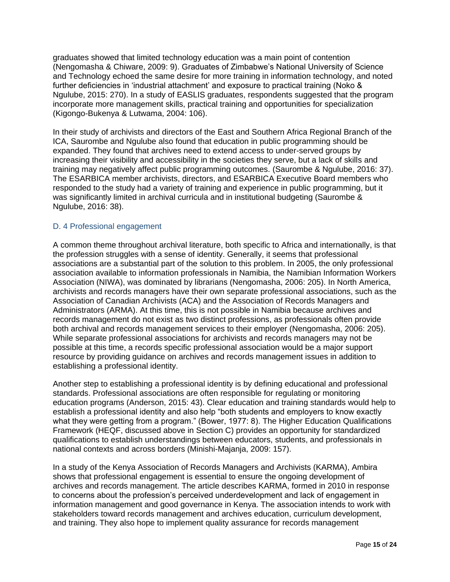graduates showed that limited technology education was a main point of contention (Nengomasha & Chiware, 2009: 9). Graduates of Zimbabwe's National University of Science and Technology echoed the same desire for more training in information technology, and noted further deficiencies in 'industrial attachment' and exposure to practical training (Noko & Ngulube, 2015: 270). In a study of EASLIS graduates, respondents suggested that the program incorporate more management skills, practical training and opportunities for specialization (Kigongo-Bukenya & Lutwama, 2004: 106).

In their study of archivists and directors of the East and Southern Africa Regional Branch of the ICA, Saurombe and Ngulube also found that education in public programming should be expanded. They found that archives need to extend access to under-served groups by increasing their visibility and accessibility in the societies they serve, but a lack of skills and training may negatively affect public programming outcomes. (Saurombe & Ngulube, 2016: 37). The ESARBICA member archivists, directors, and ESARBICA Executive Board members who responded to the study had a variety of training and experience in public programming, but it was significantly limited in archival curricula and in institutional budgeting (Saurombe & Ngulube, 2016: 38).

#### D. 4 Professional engagement

A common theme throughout archival literature, both specific to Africa and internationally, is that the profession struggles with a sense of identity. Generally, it seems that professional associations are a substantial part of the solution to this problem. In 2005, the only professional association available to information professionals in Namibia, the Namibian Information Workers Association (NIWA), was dominated by librarians (Nengomasha, 2006: 205). In North America, archivists and records managers have their own separate professional associations, such as the Association of Canadian Archivists (ACA) and the Association of Records Managers and Administrators (ARMA). At this time, this is not possible in Namibia because archives and records management do not exist as two distinct professions, as professionals often provide both archival and records management services to their employer (Nengomasha, 2006: 205). While separate professional associations for archivists and records managers may not be possible at this time, a records specific professional association would be a major support resource by providing guidance on archives and records management issues in addition to establishing a professional identity.

Another step to establishing a professional identity is by defining educational and professional standards. Professional associations are often responsible for regulating or monitoring education programs (Anderson, 2015: 43). Clear education and training standards would help to establish a professional identity and also help "both students and employers to know exactly what they were getting from a program." (Bower, 1977: 8). The Higher Education Qualifications Framework (HEQF, discussed above in Section C) provides an opportunity for standardized qualifications to establish understandings between educators, students, and professionals in national contexts and across borders (Minishi-Majanja, 2009: 157).

In a study of the Kenya Association of Records Managers and Archivists (KARMA), Ambira shows that professional engagement is essential to ensure the ongoing development of archives and records management. The article describes KARMA, formed in 2010 in response to concerns about the profession's perceived underdevelopment and lack of engagement in information management and good governance in Kenya. The association intends to work with stakeholders toward records management and archives education, curriculum development, and training. They also hope to implement quality assurance for records management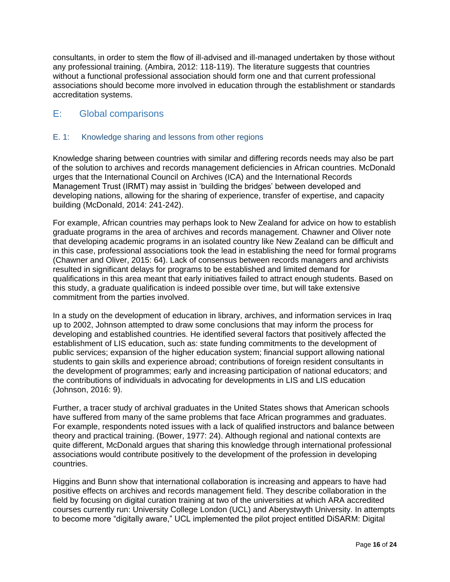consultants, in order to stem the flow of ill-advised and ill-managed undertaken by those without any professional training. (Ambira, 2012: 118-119). The literature suggests that countries without a functional professional association should form one and that current professional associations should become more involved in education through the establishment or standards accreditation systems.

# E: Global comparisons

#### E. 1: Knowledge sharing and lessons from other regions

Knowledge sharing between countries with similar and differing records needs may also be part of the solution to archives and records management deficiencies in African countries. McDonald urges that the International Council on Archives (ICA) and the International Records Management Trust (IRMT) may assist in 'building the bridges' between developed and developing nations, allowing for the sharing of experience, transfer of expertise, and capacity building (McDonald, 2014: 241-242).

For example, African countries may perhaps look to New Zealand for advice on how to establish graduate programs in the area of archives and records management. Chawner and Oliver note that developing academic programs in an isolated country like New Zealand can be difficult and in this case, professional associations took the lead in establishing the need for formal programs (Chawner and Oliver, 2015: 64). Lack of consensus between records managers and archivists resulted in significant delays for programs to be established and limited demand for qualifications in this area meant that early initiatives failed to attract enough students. Based on this study, a graduate qualification is indeed possible over time, but will take extensive commitment from the parties involved.

In a study on the development of education in library, archives, and information services in Iraq up to 2002, Johnson attempted to draw some conclusions that may inform the process for developing and established countries. He identified several factors that positively affected the establishment of LIS education, such as: state funding commitments to the development of public services; expansion of the higher education system; financial support allowing national students to gain skills and experience abroad; contributions of foreign resident consultants in the development of programmes; early and increasing participation of national educators; and the contributions of individuals in advocating for developments in LIS and LIS education (Johnson, 2016: 9).

Further, a tracer study of archival graduates in the United States shows that American schools have suffered from many of the same problems that face African programmes and graduates. For example, respondents noted issues with a lack of qualified instructors and balance between theory and practical training. (Bower, 1977: 24). Although regional and national contexts are quite different, McDonald argues that sharing this knowledge through international professional associations would contribute positively to the development of the profession in developing countries.

Higgins and Bunn show that international collaboration is increasing and appears to have had positive effects on archives and records management field. They describe collaboration in the field by focusing on digital curation training at two of the universities at which ARA accredited courses currently run: University College London (UCL) and Aberystwyth University. In attempts to become more "digitally aware," UCL implemented the pilot project entitled DiSARM: Digital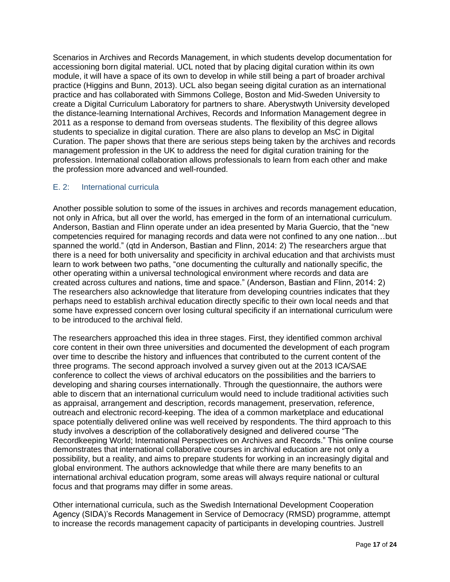Scenarios in Archives and Records Management, in which students develop documentation for accessioning born digital material. UCL noted that by placing digital curation within its own module, it will have a space of its own to develop in while still being a part of broader archival practice (Higgins and Bunn, 2013). UCL also began seeing digital curation as an international practice and has collaborated with Simmons College, Boston and Mid-Sweden University to create a Digital Curriculum Laboratory for partners to share. Aberystwyth University developed the distance-learning International Archives, Records and Information Management degree in 2011 as a response to demand from overseas students. The flexibility of this degree allows students to specialize in digital curation. There are also plans to develop an MsC in Digital Curation. The paper shows that there are serious steps being taken by the archives and records management profession in the UK to address the need for digital curation training for the profession. International collaboration allows professionals to learn from each other and make the profession more advanced and well-rounded.

#### E. 2: International curricula

Another possible solution to some of the issues in archives and records management education, not only in Africa, but all over the world, has emerged in the form of an international curriculum. Anderson, Bastian and Flinn operate under an idea presented by Maria Guercio, that the "new competencies required for managing records and data were not confined to any one nation…but spanned the world." (qtd in Anderson, Bastian and Flinn, 2014: 2) The researchers argue that there is a need for both universality and specificity in archival education and that archivists must learn to work between two paths, "one documenting the culturally and nationally specific, the other operating within a universal technological environment where records and data are created across cultures and nations, time and space." (Anderson, Bastian and Flinn, 2014: 2) The researchers also acknowledge that literature from developing countries indicates that they perhaps need to establish archival education directly specific to their own local needs and that some have expressed concern over losing cultural specificity if an international curriculum were to be introduced to the archival field.

The researchers approached this idea in three stages. First, they identified common archival core content in their own three universities and documented the development of each program over time to describe the history and influences that contributed to the current content of the three programs. The second approach involved a survey given out at the 2013 ICA/SAE conference to collect the views of archival educators on the possibilities and the barriers to developing and sharing courses internationally. Through the questionnaire, the authors were able to discern that an international curriculum would need to include traditional activities such as appraisal, arrangement and description, records management, preservation, reference, outreach and electronic record-keeping. The idea of a common marketplace and educational space potentially delivered online was well received by respondents. The third approach to this study involves a description of the collaboratively designed and delivered course "The Recordkeeping World; International Perspectives on Archives and Records." This online course demonstrates that international collaborative courses in archival education are not only a possibility, but a reality, and aims to prepare students for working in an increasingly digital and global environment. The authors acknowledge that while there are many benefits to an international archival education program, some areas will always require national or cultural focus and that programs may differ in some areas.

Other international curricula, such as the Swedish International Development Cooperation Agency (SIDA)'s Records Management in Service of Democracy (RMSD) programme, attempt to increase the records management capacity of participants in developing countries. Justrell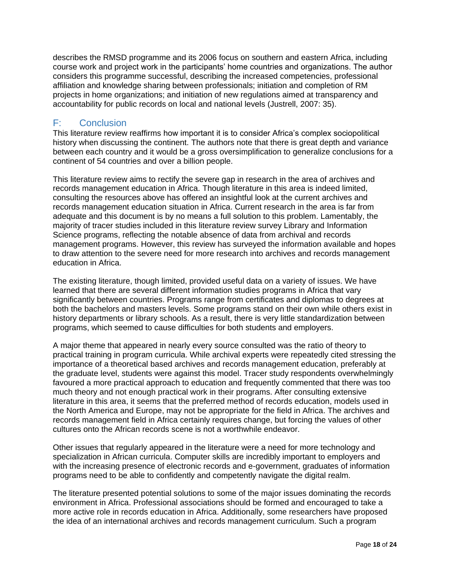describes the RMSD programme and its 2006 focus on southern and eastern Africa, including course work and project work in the participants' home countries and organizations. The author considers this programme successful, describing the increased competencies, professional affiliation and knowledge sharing between professionals; initiation and completion of RM projects in home organizations; and initiation of new regulations aimed at transparency and accountability for public records on local and national levels (Justrell, 2007: 35).

## F: Conclusion

This literature review reaffirms how important it is to consider Africa's complex sociopolitical history when discussing the continent. The authors note that there is great depth and variance between each country and it would be a gross oversimplification to generalize conclusions for a continent of 54 countries and over a billion people.

This literature review aims to rectify the severe gap in research in the area of archives and records management education in Africa. Though literature in this area is indeed limited, consulting the resources above has offered an insightful look at the current archives and records management education situation in Africa. Current research in the area is far from adequate and this document is by no means a full solution to this problem. Lamentably, the majority of tracer studies included in this literature review survey Library and Information Science programs, reflecting the notable absence of data from archival and records management programs. However, this review has surveyed the information available and hopes to draw attention to the severe need for more research into archives and records management education in Africa.

The existing literature, though limited, provided useful data on a variety of issues. We have learned that there are several different information studies programs in Africa that vary significantly between countries. Programs range from certificates and diplomas to degrees at both the bachelors and masters levels. Some programs stand on their own while others exist in history departments or library schools. As a result, there is very little standardization between programs, which seemed to cause difficulties for both students and employers.

A major theme that appeared in nearly every source consulted was the ratio of theory to practical training in program curricula. While archival experts were repeatedly cited stressing the importance of a theoretical based archives and records management education, preferably at the graduate level, students were against this model. Tracer study respondents overwhelmingly favoured a more practical approach to education and frequently commented that there was too much theory and not enough practical work in their programs. After consulting extensive literature in this area, it seems that the preferred method of records education, models used in the North America and Europe, may not be appropriate for the field in Africa. The archives and records management field in Africa certainly requires change, but forcing the values of other cultures onto the African records scene is not a worthwhile endeavor.

Other issues that regularly appeared in the literature were a need for more technology and specialization in African curricula. Computer skills are incredibly important to employers and with the increasing presence of electronic records and e-government, graduates of information programs need to be able to confidently and competently navigate the digital realm.

The literature presented potential solutions to some of the major issues dominating the records environment in Africa. Professional associations should be formed and encouraged to take a more active role in records education in Africa. Additionally, some researchers have proposed the idea of an international archives and records management curriculum. Such a program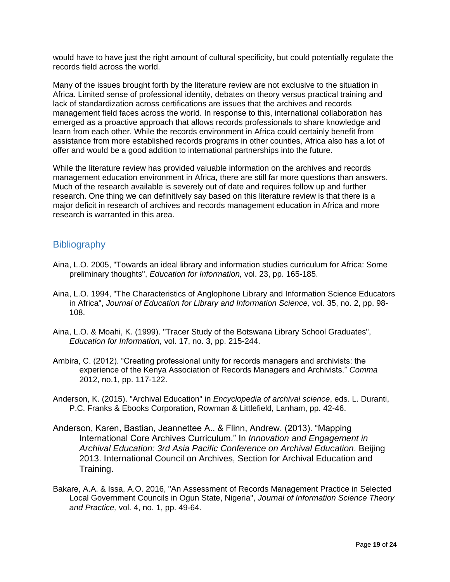would have to have just the right amount of cultural specificity, but could potentially regulate the records field across the world.

Many of the issues brought forth by the literature review are not exclusive to the situation in Africa. Limited sense of professional identity, debates on theory versus practical training and lack of standardization across certifications are issues that the archives and records management field faces across the world. In response to this, international collaboration has emerged as a proactive approach that allows records professionals to share knowledge and learn from each other. While the records environment in Africa could certainly benefit from assistance from more established records programs in other counties, Africa also has a lot of offer and would be a good addition to international partnerships into the future.

While the literature review has provided valuable information on the archives and records management education environment in Africa, there are still far more questions than answers. Much of the research available is severely out of date and requires follow up and further research. One thing we can definitively say based on this literature review is that there is a major deficit in research of archives and records management education in Africa and more research is warranted in this area.

## **Bibliography**

- Aina, L.O. 2005, "Towards an ideal library and information studies curriculum for Africa: Some preliminary thoughts", *Education for Information,* vol. 23, pp. 165-185.
- Aina, L.O. 1994, "The Characteristics of Anglophone Library and Information Science Educators in Africa", *Journal of Education for Library and Information Science,* vol. 35, no. 2, pp. 98- 108.
- Aina, L.O. & Moahi, K. (1999). "Tracer Study of the Botswana Library School Graduates", *Education for Information,* vol. 17, no. 3, pp. 215-244.
- Ambira, C. (2012). "Creating professional unity for records managers and archivists: the experience of the Kenya Association of Records Managers and Archivists." *Comma* 2012, no.1, pp. 117-122.
- Anderson, K. (2015). "Archival Education" in *Encyclopedia of archival science*, eds. L. Duranti, P.C. Franks & Ebooks Corporation, Rowman & Littlefield, Lanham, pp. 42-46.
- Anderson, Karen, Bastian, Jeannettee A., & Flinn, Andrew. (2013). "Mapping International Core Archives Curriculum." In *Innovation and Engagement in Archival Education: 3rd Asia Pacific Conference on Archival Education*. Beijing 2013. International Council on Archives, Section for Archival Education and Training.
- Bakare, A.A. & Issa, A.O. 2016, "An Assessment of Records Management Practice in Selected Local Government Councils in Ogun State, Nigeria", *Journal of Information Science Theory and Practice,* vol. 4, no. 1, pp. 49-64.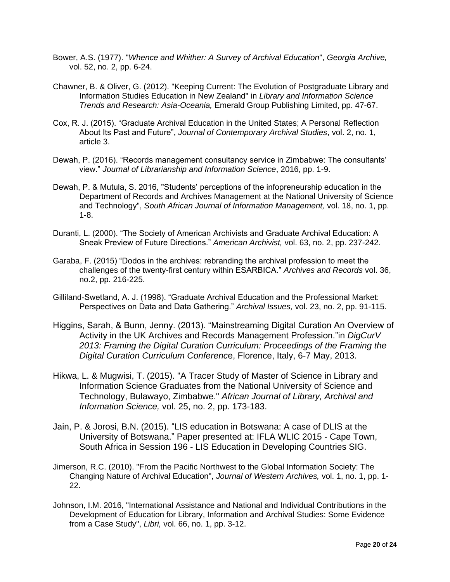- Bower, A.S. (1977). "*Whence and Whither: A Survey of Archival Education*", *Georgia Archive,*  vol. 52, no. 2, pp. 6-24.
- Chawner, B. & Oliver, G. (2012). "Keeping Current: The Evolution of Postgraduate Library and Information Studies Education in New Zealand" in *Library and Information Science Trends and Research: Asia-Oceania,* Emerald Group Publishing Limited, pp. 47-67.
- Cox, R. J. (2015). "Graduate Archival Education in the United States; A Personal Reflection About Its Past and Future", *Journal of Contemporary Archival Studies*, vol. 2, no. 1, article 3.
- Dewah, P. (2016). "Records management consultancy service in Zimbabwe: The consultants' view." *Journal of Librarianship and Information Science*, 2016, pp. 1-9.
- Dewah, P. & Mutula, S. 2016, "Students' perceptions of the infopreneurship education in the Department of Records and Archives Management at the National University of Science and Technology", *South African Journal of Information Management,* vol. 18, no. 1, pp. 1-8.
- Duranti, L. (2000). "The Society of American Archivists and Graduate Archival Education: A Sneak Preview of Future Directions." *American Archivist,* vol. 63, no. 2, pp. 237-242.
- Garaba, F. (2015) "Dodos in the archives: rebranding the archival profession to meet the challenges of the twenty-first century within ESARBICA." *Archives and Records* vol. 36, no.2, pp. 216-225.
- Gilliland-Swetland, A. J. (1998). "Graduate Archival Education and the Professional Market: Perspectives on Data and Data Gathering." *Archival Issues,* vol. 23, no. 2, pp. 91-115.
- Higgins, Sarah, & Bunn, Jenny. (2013). "Mainstreaming Digital Curation An Overview of Activity in the UK Archives and Records Management Profession."in *DigCurV 2013: Framing the Digital Curation Curriculum: Proceedings of the Framing the Digital Curation Curriculum Conferenc*e, Florence, Italy, 6-7 May, 2013.
- Hikwa, L. & Mugwisi, T. (2015). "A Tracer Study of Master of Science in Library and Information Science Graduates from the National University of Science and Technology, Bulawayo, Zimbabwe." *African Journal of Library, Archival and Information Science,* vol. 25, no. 2, pp. 173-183.
- Jain, P. & Jorosi, B.N. (2015). "LIS education in Botswana: A case of DLIS at the University of Botswana." Paper presented at: IFLA WLIC 2015 - Cape Town, South Africa in Session 196 - LIS Education in Developing Countries SIG.
- Jimerson, R.C. (2010). "From the Pacific Northwest to the Global Information Society: The Changing Nature of Archival Education", *Journal of Western Archives,* vol. 1, no. 1, pp. 1- 22.
- Johnson, I.M. 2016, "International Assistance and National and Individual Contributions in the Development of Education for Library, Information and Archival Studies: Some Evidence from a Case Study", *Libri,* vol. 66, no. 1, pp. 3-12.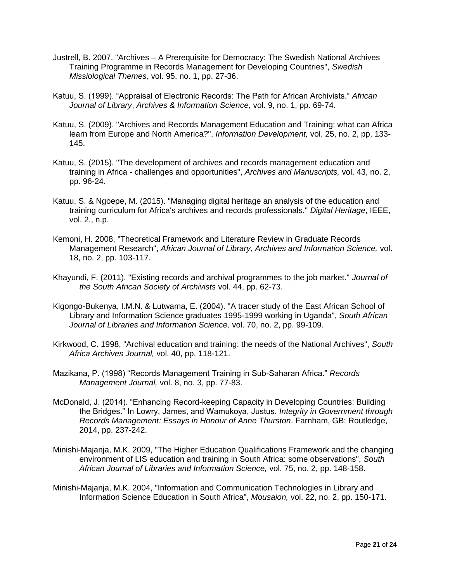- Justrell, B. 2007, "Archives A Prerequisite for Democracy: The Swedish National Archives Training Programme in Records Management for Developing Countries", *Swedish Missiological Themes,* vol. 95, no. 1, pp. 27-36.
- Katuu, S. (1999). "Appraisal of Electronic Records: The Path for African Archivists." *African Journal of Library*, *Archives & Information Science,* vol. 9, no. 1, pp. 69-74.
- Katuu, S. (2009). "Archives and Records Management Education and Training: what can Africa learn from Europe and North America?", *Information Development,* vol. 25, no. 2, pp. 133- 145.
- Katuu, S. (2015). "The development of archives and records management education and training in Africa - challenges and opportunities", *Archives and Manuscripts,* vol. 43, no. 2, pp. 96-24.
- Katuu, S. & Ngoepe, M. (2015). "Managing digital heritage an analysis of the education and training curriculum for Africa's archives and records professionals." *Digital Heritage*, IEEE, vol. 2., n.p.
- Kemoni, H. 2008, "Theoretical Framework and Literature Review in Graduate Records Management Research", *African Journal of Library, Archives and Information Science,* vol. 18, no. 2, pp. 103-117.
- Khayundi, F. (2011). "Existing records and archival programmes to the job market." *Journal of the South African Society of Archivists* vol. 44, pp. 62-73.
- Kigongo-Bukenya, I.M.N. & Lutwama, E. (2004). "A tracer study of the East African School of Library and Information Science graduates 1995-1999 working in Uganda", *South African Journal of Libraries and Information Science,* vol. 70, no. 2, pp. 99-109.
- Kirkwood, C. 1998, "Archival education and training: the needs of the National Archives", *South Africa Archives Journal,* vol. 40, pp. 118-121.
- Mazikana, P. (1998) "Records Management Training in Sub-Saharan Africa." *Records Management Journal,* vol. 8, no. 3, pp. 77-83.
- McDonald, J. (2014). "Enhancing Record-keeping Capacity in Developing Countries: Building the Bridges." In Lowry, James, and Wamukoya, Justus. *Integrity in Government through Records Management: Essays in Honour of Anne Thurston*. Farnham, GB: Routledge, 2014, pp. 237-242.
- Minishi-Majanja, M.K. 2009, "The Higher Education Qualifications Framework and the changing environment of LIS education and training in South Africa: some observations", *South African Journal of Libraries and Information Science,* vol. 75, no. 2, pp. 148-158.
- Minishi-Majanja, M.K. 2004, "Information and Communication Technologies in Library and Information Science Education in South Africa", *Mousaion,* vol. 22, no. 2, pp. 150-171.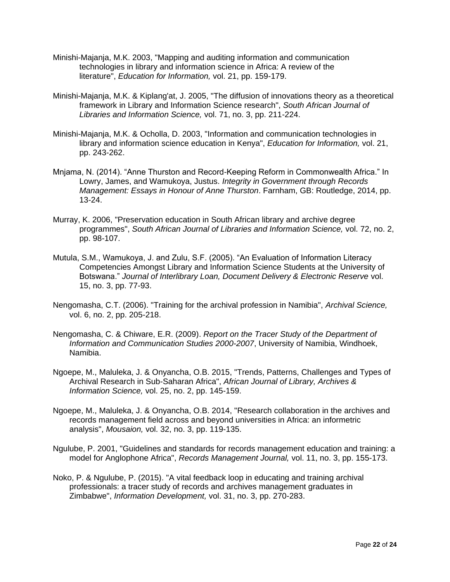- Minishi-Majanja, M.K. 2003, "Mapping and auditing information and communication technologies in library and information science in Africa: A review of the literature", *Education for Information,* vol. 21, pp. 159-179.
- Minishi-Majanja, M.K. & Kiplang'at, J. 2005, "The diffusion of innovations theory as a theoretical framework in Library and Information Science research", *South African Journal of Libraries and Information Science,* vol. 71, no. 3, pp. 211-224.
- Minishi-Majanja, M.K. & Ocholla, D. 2003, "Information and communication technologies in library and information science education in Kenya", *Education for Information,* vol. 21, pp. 243-262.
- Mnjama, N. (2014). "Anne Thurston and Record-Keeping Reform in Commonwealth Africa." In Lowry, James, and Wamukoya, Justus. *Integrity in Government through Records Management: Essays in Honour of Anne Thurston*. Farnham, GB: Routledge, 2014, pp. 13-24.
- Murray, K. 2006, "Preservation education in South African library and archive degree programmes", *South African Journal of Libraries and Information Science,* vol. 72, no. 2, pp. 98-107.
- Mutula, S.M., Wamukoya, J. and Zulu, S.F. (2005). "An Evaluation of Information Literacy Competencies Amongst Library and Information Science Students at the University of Botswana." *Journal of Interlibrary Loan, Document Delivery & Electronic Reserve* vol. 15, no. 3, pp. 77-93.
- Nengomasha, C.T. (2006). "Training for the archival profession in Namibia", *Archival Science,*  vol. 6, no. 2, pp. 205-218.
- Nengomasha, C. & Chiware, E.R. (2009). *Report on the Tracer Study of the Department of Information and Communication Studies 2000-2007*, University of Namibia, Windhoek, Namibia.
- Ngoepe, M., Maluleka, J. & Onyancha, O.B. 2015, "Trends, Patterns, Challenges and Types of Archival Research in Sub-Saharan Africa", *African Journal of Library, Archives & Information Science,* vol. 25, no. 2, pp. 145-159.
- Ngoepe, M., Maluleka, J. & Onyancha, O.B. 2014, "Research collaboration in the archives and records management field across and beyond universities in Africa: an informetric analysis", *Mousaion,* vol. 32, no. 3, pp. 119-135.
- Ngulube, P. 2001, "Guidelines and standards for records management education and training: a model for Anglophone Africa", *Records Management Journal,* vol. 11, no. 3, pp. 155-173.
- Noko, P. & Ngulube, P. (2015). "A vital feedback loop in educating and training archival professionals: a tracer study of records and archives management graduates in Zimbabwe", *Information Development,* vol. 31, no. 3, pp. 270-283.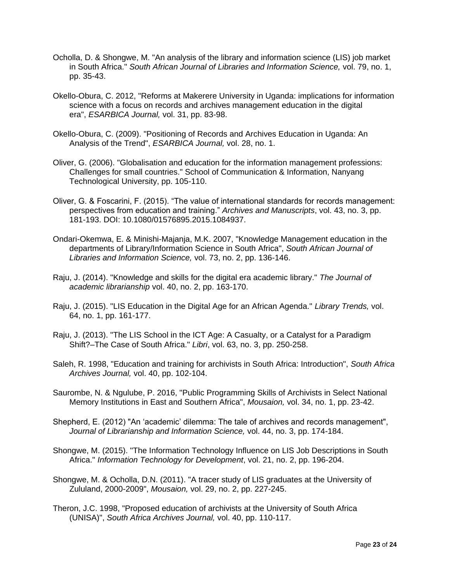- Ocholla, D. & Shongwe, M. "An analysis of the library and information science (LIS) job market in South Africa." *South African Journal of Libraries and Information Science,* vol. 79, no. 1, pp. 35-43.
- Okello-Obura, C. 2012, "Reforms at Makerere University in Uganda: implications for information science with a focus on records and archives management education in the digital era", *ESARBICA Journal,* vol. 31, pp. 83-98.
- Okello-Obura, C. (2009). "Positioning of Records and Archives Education in Uganda: An Analysis of the Trend", *ESARBICA Journal,* vol. 28, no. 1.
- Oliver, G. (2006). "Globalisation and education for the information management professions: Challenges for small countries." School of Communication & Information, Nanyang Technological University, pp. 105-110.
- Oliver, G. & Foscarini, F. (2015). "The value of international standards for records management: perspectives from education and training." *Archives and Manuscripts*, vol. 43, no. 3, pp. 181-193. DOI: 10.1080/01576895.2015.1084937.
- Ondari-Okemwa, E. & Minishi-Majanja, M.K. 2007, "Knowledge Management education in the departments of Library/Information Science in South Africa", *South African Journal of Libraries and Information Science,* vol. 73, no. 2, pp. 136-146.
- Raju, J. (2014). "Knowledge and skills for the digital era academic library." *The Journal of academic librarianship* vol. 40, no. 2, pp. 163-170.
- Raju, J. (2015). "LIS Education in the Digital Age for an African Agenda." *Library Trends,* vol. 64, no. 1, pp. 161-177.
- Raju, J. (2013). "The LIS School in the ICT Age: A Casualty, or a Catalyst for a Paradigm Shift?–The Case of South Africa." *Libri*, vol. 63, no. 3, pp. 250-258.
- Saleh, R. 1998, "Education and training for archivists in South Africa: Introduction", *South Africa Archives Journal,* vol. 40, pp. 102-104.
- Saurombe, N. & Ngulube, P. 2016, "Public Programming Skills of Archivists in Select National Memory Institutions in East and Southern Africa", *Mousaion,* vol. 34, no. 1, pp. 23-42.
- Shepherd, E. (2012) "An 'academic' dilemma: The tale of archives and records management", *Journal of Librarianship and Information Science,* vol. 44, no. 3, pp. 174-184.
- Shongwe, M. (2015). "The Information Technology Influence on LIS Job Descriptions in South Africa." *Information Technology for Development*, vol. 21, no. 2, pp. 196-204.
- Shongwe, M. & Ocholla, D.N. (2011). "A tracer study of LIS graduates at the University of Zululand, 2000-2009", *Mousaion,* vol. 29, no. 2, pp. 227-245.
- Theron, J.C. 1998, "Proposed education of archivists at the University of South Africa (UNISA)", *South Africa Archives Journal,* vol. 40, pp. 110-117.